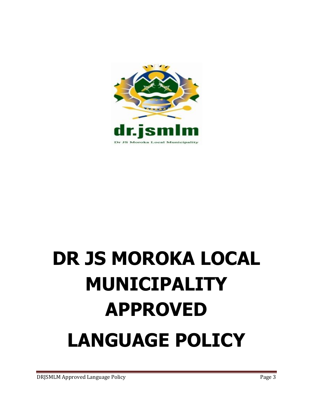

# **DR JS MOROKA LOCAL MUNICIPALITY APPROVED LANGUAGE POLICY**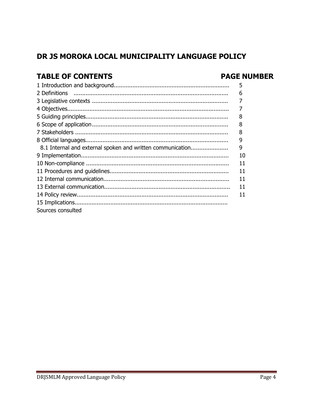## DR JS MOROKA LOCAL MUNICIPALITY LANGUAGE POLICY

## **TABLE OF CONTENTS**

### **PAGE NUMBER**

|                                                            | 5  |
|------------------------------------------------------------|----|
|                                                            | 6  |
|                                                            |    |
|                                                            |    |
|                                                            |    |
|                                                            | 8  |
|                                                            | 8  |
|                                                            | 9  |
| 8.1 Internal and external spoken and written communication | 9  |
|                                                            | 10 |
|                                                            | 11 |
|                                                            | 11 |
|                                                            | 11 |
|                                                            | 11 |
|                                                            | 11 |
|                                                            |    |
| Sources consulted                                          |    |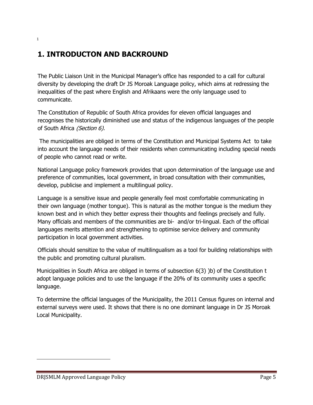## **1. INTRODUCTON AND BACKROUND**

The Public Liaison Unit in the Municipal Manager's office has responded to a call for cultural diversity by developing the draft Dr JS Moroak Language policy, which aims at redressing the inequalities of the past where English and Afrikaans were the only language used to communicate.

The Constitution of Republic of South Africa provides for eleven official languages and recognises the historically diminished use and status of the indigenous languages of the people of South Africa (Section 6).

The municipalities are obliged in terms of the Constitution and Municipal Systems Act to take into account the language needs of their residents when communicating including special needs of people who cannot read or write.

National Language policy framework provides that upon determination of the language use and preference of communities, local government, in broad consultation with their communities, develop, publicise and implement a multilingual policy.

Language is a sensitive issue and people generally feel most comfortable communicating in their own language (mother tongue). This is natural as the mother tongue is the medium they known best and in which they better express their thoughts and feelings precisely and fully. Many officials and members of the communities are bi- and/or tri-lingual. Each of the official languages merits attention and strengthening to optimise service delivery and community participation in local government activities.

Officials should sensitize to the value of multilingualism as a tool for building relationships with the public and promoting cultural pluralism.

Municipalities in South Africa are obliged in terms of subsection 6(3) )b) of the Constitution t adopt language policies and to use the language if the 20% of its community uses a specific language.

To determine the official languages of the Municipality, the 2011 Census figures on internal and external surveys were used. It shows that there is no one dominant language in Dr JS Moroak Local Municipality.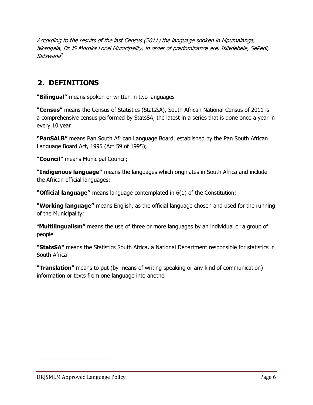According to the results of the last Census (2011) the language spoken in Mpumalanga, Nkangala, Dr JS Moroka Local Municipality, in order of predominance are, IsiNdebele, SePedi, Setswana 2

## **2. DEFINITIONS**

**"Bilingual''** means spoken or written in two languages

**"Census"** means the Census of Statistics (StatsSA), South African National Census of 2011 is a comprehensive census performed by StatsSA, the latest in a series that is done once a year in every 10 year

**"PanSALB"** means Pan South African Language Board, established by the Pan South African Language Board Act, 1995 (Act 59 of 1995);

**"Council"** means Municipal Council;

**"Indigenous language''** means the languages which originates in South Africa and include the African official languages;

**"Official language''** means language contemplated in 6(1) of the Constitution;

**"Working language''** means English, as the official language chosen and used for the running of the Municipality;

"**Multilingualism"** means the use of three or more languages by an individual or a group of people

**"StatsSA"** means the Statistics South Africa, a National Department responsible for statistics in South Africa

**"Translation"** means to put (by means of writing speaking or any kind of communication) information or texts from one language into another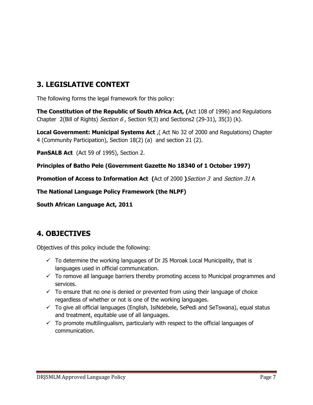## **3. LEGISLATIVE CONTEXT**

The following forms the legal framework for this policy:

**The Constitution of the Republic of South Africa Act, (**Act 108 of 1996) and Regulations Chapter 2(Bill of Rights) Section  $6$ , Section 9(3) and Sections2 (29-31), 35(3) (k).

**Local Government: Municipal Systems Act** ,( Act No 32 of 2000 and Regulations) Chapter 4 (Community Participation), Section 18(2) (a) and section 21 (2).

**PanSALB Act** (Act 59 of 1995), Section 2.

**Principles of Batho Pele (Government Gazette No 18340 of 1 October 1997)**

**Promotion of Access to Information Act (Act of 2000 ) Section 3 and Section 31 A** 

**The National Language Policy Framework (the NLPF)**

**South African Language Act, 2011**

## **4. OBJECTIVES**

Objectives of this policy include the following:

- $\checkmark$  To determine the working languages of Dr JS Moroak Local Municipality, that is languages used in official communication.
- $\checkmark$  To remove all language barriers thereby promoting access to Municipal programmes and services.
- $\checkmark$  To ensure that no one is denied or prevented from using their language of choice regardless of whether or not is one of the working languages.
- $\checkmark$  To give all official languages (English, IsiNdebele, SePedi and SeTswana), equal status and treatment, equitable use of all languages.
- $\checkmark$  To promote multilingualism, particularly with respect to the official languages of communication.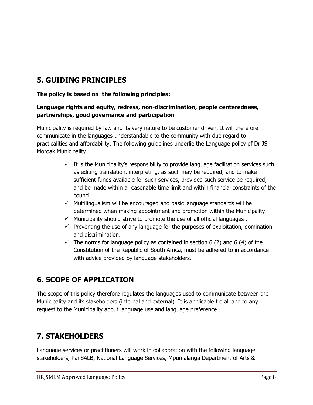## **5. GUIDING PRINCIPLES**

#### **The policy is based on the following principles:**

#### **Language rights and equity, redress, non-discrimination, people centeredness, partnerships, good governance and participation**

Municipality is required by law and its very nature to be customer driven. It will therefore communicate in the languages understandable to the community with due regard to practicalities and affordability. The following guidelines underlie the Language policy of Dr JS Moroak Municipality.

- $\checkmark$  It is the Municipality's responsibility to provide language facilitation services such as editing translation, interpreting, as such may be required, and to make sufficient funds available for such services, provided such service be required, and be made within a reasonable time limit and within financial constraints of the council.
- $\checkmark$  Multilingualism will be encouraged and basic language standards will be determined when making appointment and promotion within the Municipality.
- $\checkmark$  Municipality should strive to promote the use of all official languages.
- $\checkmark$  Preventing the use of any language for the purposes of exploitation, domination and discrimination.
- $\checkmark$  The norms for language policy as contained in section 6 (2) and 6 (4) of the Constitution of the Republic of South Africa, must be adhered to in accordance with advice provided by language stakeholders.

## **6. SCOPE OF APPLICATION**

The scope of this policy therefore regulates the languages used to communicate between the Municipality and its stakeholders (internal and external). It is applicable t o all and to any request to the Municipality about language use and language preference.

## **7. STAKEHOLDERS**

Language services or practitioners will work in collaboration with the following language stakeholders, PanSALB, National Language Services, Mpumalanga Department of Arts &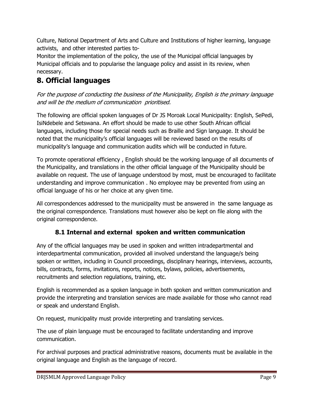Culture, National Department of Arts and Culture and Institutions of higher learning, language activists, and other interested parties to-

Monitor the implementation of the policy, the use of the Municipal official languages by Municipal officials and to popularise the language policy and assist in its review, when necessary.

# **8. Official languages**

For the purpose of conducting the business of the Municipality, English is the primary language and will be the medium of communication prioritised.

The following are official spoken languages of Dr JS Moroak Local Municipality: English, SePedi, IsiNdebele and Setswana. An effort should be made to use other South African official languages, including those for special needs such as Braille and Sign language. It should be noted that the municipality's official languages will be reviewed based on the results of municipality's language and communication audits which will be conducted in future.

To promote operational efficiency , English should be the working language of all documents of the Municipality, and translations in the other official language of the Municipality should be available on request. The use of language understood by most, must be encouraged to facilitate understanding and improve communication . No employee may be prevented from using an official language of his or her choice at any given time.

All correspondences addressed to the municipality must be answered in the same language as the original correspondence. Translations must however also be kept on file along with the original correspondence.

## **8.1 Internal and external spoken and written communication**

Any of the official languages may be used in spoken and written intradepartmental and interdepartmental communication, provided all involved understand the language/s being spoken or written, including in Council proceedings, disciplinary hearings, interviews, accounts, bills, contracts, forms, invitations, reports, notices, bylaws, policies, advertisements, recruitments and selection regulations, training, etc.

English is recommended as a spoken language in both spoken and written communication and provide the interpreting and translation services are made available for those who cannot read or speak and understand English.

On request, municipality must provide interpreting and translating services.

The use of plain language must be encouraged to facilitate understanding and improve communication.

For archival purposes and practical administrative reasons, documents must be available in the original language and English as the language of record.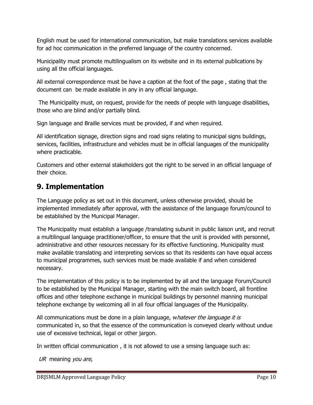English must be used for international communication, but make translations services available for ad hoc communication in the preferred language of the country concerned.

Municipality must promote multilingualism on its website and in its external publications by using all the official languages.

All external correspondence must be have a caption at the foot of the page , stating that the document can be made available in any in any official language.

The Municipality must, on request, provide for the needs of people with language disabilities, those who are blind and/or partially blind.

Sign language and Braille services must be provided, if and when required.

All identification signage, direction signs and road signs relating to municipal signs buildings, services, facilities, infrastructure and vehicles must be in official languages of the municipality where practicable.

Customers and other external stakeholders got the right to be served in an official language of their choice.

## **9. Implementation**

The Language policy as set out in this document, unless otherwise provided, should be implemented immediately after approval, with the assistance of the language forum/council to be established by the Municipal Manager.

The Municipality must establish a language /translating subunit in public liaison unit, and recruit a multilingual language practitioner/officer, to ensure that the unit is provided with personnel, administrative and other resources necessary for its effective functioning. Municipality must make available translating and interpreting services so that its residents can have equal access to municipal programmes, such services must be made available if and when considered necessary.

The implementation of this policy is to be implemented by all and the language Forum/Council to be established by the Municipal Manager, starting with the main switch board, all frontline offices and other telephone exchange in municipal buildings by personnel manning municipal telephone exchange by welcoming all in all four official languages of the Municipality.

All communications must be done in a plain language, whatever the language it is communicated in, so that the essence of the communication is conveyed clearly without undue use of excessive technical, legal or other jargon.

In written official communication , it is not allowed to use a smsing language such as:

UR meaning you are,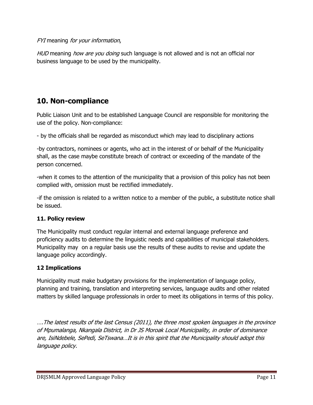#### FYI meaning for your information,

HUD meaning how are you doing such language is not allowed and is not an official nor business language to be used by the municipality.

## **10. Non-compliance**

Public Liaison Unit and to be established Language Council are responsible for monitoring the use of the policy. Non-compliance:

- by the officials shall be regarded as misconduct which may lead to disciplinary actions

-by contractors, nominees or agents, who act in the interest of or behalf of the Municipality shall, as the case maybe constitute breach of contract or exceeding of the mandate of the person concerned.

-when it comes to the attention of the municipality that a provision of this policy has not been complied with, omission must be rectified immediately.

-if the omission is related to a written notice to a member of the public, a substitute notice shall be issued.

#### **11. Policy review**

The Municipality must conduct regular internal and external language preference and proficiency audits to determine the linguistic needs and capabilities of municipal stakeholders. Municipality may on a regular basis use the results of these audits to revise and update the language policy accordingly.

#### **12 Implications**

Municipality must make budgetary provisions for the implementation of language policy, planning and training, translation and interpreting services, language audits and other related matters by skilled language professionals in order to meet its obligations in terms of this policy.

….The latest results of the last Census (2011), the three most spoken languages in the province of Mpumalanga, Nkangala District, in Dr JS Moroak Local Municipality, in order of dominance are, IsiNdebele, SePedi, SeTswana…It is in this spirit that the Municipality should adopt this language policy.